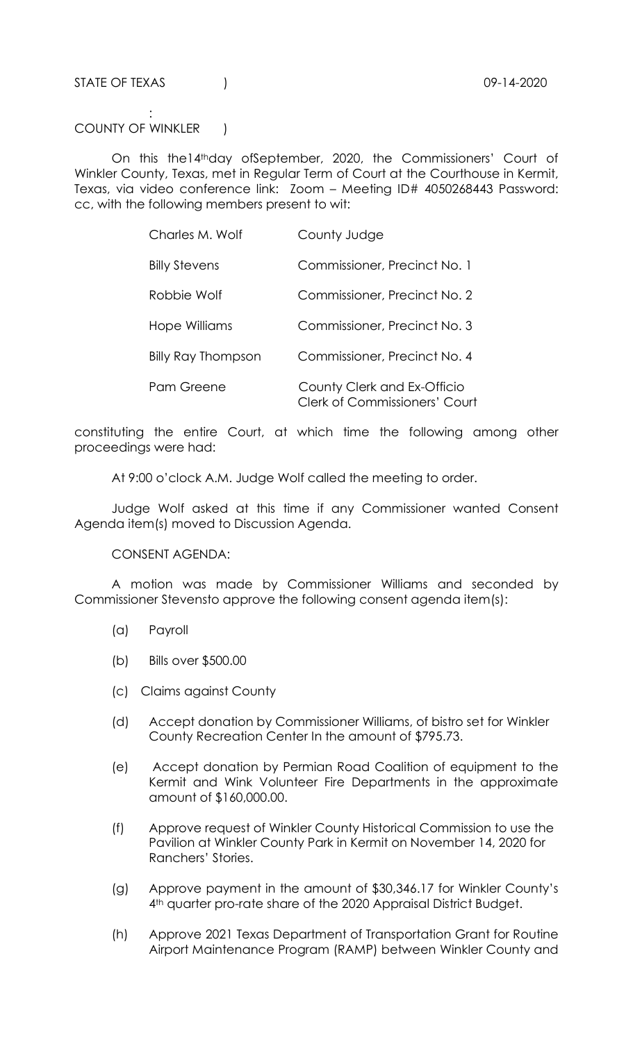STATE OF TEXAS (1994) 2020

: 1999 - 1999 - 1999 COUNTY OF WINKLER |

 On this the14thday ofSeptember, 2020, the Commissioners' Court of Winkler County, Texas, met in Regular Term of Court at the Courthouse in Kermit, Texas, via video conference link: Zoom – Meeting ID# 4050268443 Password: cc, with the following members present to wit:

| Charles M. Wolf           | County Judge                                                        |
|---------------------------|---------------------------------------------------------------------|
| <b>Billy Stevens</b>      | Commissioner, Precinct No. 1                                        |
| Robbie Wolf               | Commissioner, Precinct No. 2                                        |
| Hope Williams             | Commissioner, Precinct No. 3                                        |
| <b>Billy Ray Thompson</b> | Commissioner, Precinct No. 4                                        |
| Pam Greene                | County Clerk and Ex-Officio<br><b>Clerk of Commissioners' Court</b> |

constituting the entire Court, at which time the following among other proceedings were had:

At 9:00 o'clock A.M. Judge Wolf called the meeting to order.

 Judge Wolf asked at this time if any Commissioner wanted Consent Agenda item(s) moved to Discussion Agenda.

CONSENT AGENDA:

 A motion was made by Commissioner Williams and seconded by Commissioner Stevensto approve the following consent agenda item(s):

- (a) Payroll
- (b) Bills over \$500.00
- (c) Claims against County
- (d) Accept donation by Commissioner Williams, of bistro set for Winkler County Recreation Center In the amount of \$795.73.
- (e) Accept donation by Permian Road Coalition of equipment to the Kermit and Wink Volunteer Fire Departments in the approximate amount of \$160,000.00.
- (f) Approve request of Winkler County Historical Commission to use the Pavilion at Winkler County Park in Kermit on November 14, 2020 for Ranchers' Stories.
- (g) Approve payment in the amount of \$30,346.17 for Winkler County's 4th quarter pro-rate share of the 2020 Appraisal District Budget.
- (h) Approve 2021 Texas Department of Transportation Grant for Routine Airport Maintenance Program (RAMP) between Winkler County and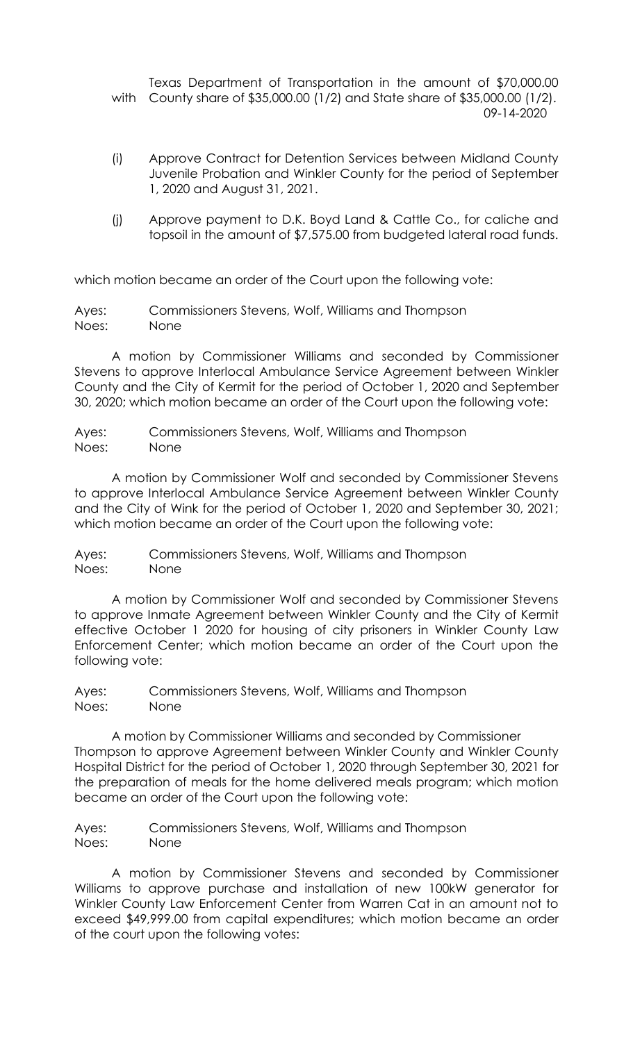Texas Department of Transportation in the amount of \$70,000.00 with County share of \$35,000.00 (1/2) and State share of \$35,000.00 (1/2). 09-14-2020

- (i) Approve Contract for Detention Services between Midland County Juvenile Probation and Winkler County for the period of September 1, 2020 and August 31, 2021.
- (j) Approve payment to D.K. Boyd Land & Cattle Co., for caliche and topsoil in the amount of \$7,575.00 from budgeted lateral road funds.

which motion became an order of the Court upon the following vote:

Ayes: Commissioners Stevens, Wolf, Williams and Thompson Noes: None

 A motion by Commissioner Williams and seconded by Commissioner Stevens to approve Interlocal Ambulance Service Agreement between Winkler County and the City of Kermit for the period of October 1, 2020 and September 30, 2020; which motion became an order of the Court upon the following vote:

Ayes: Commissioners Stevens, Wolf, Williams and Thompson Noes: None

 A motion by Commissioner Wolf and seconded by Commissioner Stevens to approve Interlocal Ambulance Service Agreement between Winkler County and the City of Wink for the period of October 1, 2020 and September 30, 2021; which motion became an order of the Court upon the following vote:

Ayes: Commissioners Stevens, Wolf, Williams and Thompson Noes: None

 A motion by Commissioner Wolf and seconded by Commissioner Stevens to approve Inmate Agreement between Winkler County and the City of Kermit effective October 1 2020 for housing of city prisoners in Winkler County Law Enforcement Center; which motion became an order of the Court upon the following vote:

Ayes: Commissioners Stevens, Wolf, Williams and Thompson Noes: None

 A motion by Commissioner Williams and seconded by Commissioner Thompson to approve Agreement between Winkler County and Winkler County Hospital District for the period of October 1, 2020 through September 30, 2021 for the preparation of meals for the home delivered meals program; which motion became an order of the Court upon the following vote:

Ayes: Commissioners Stevens, Wolf, Williams and Thompson Noes: None

 A motion by Commissioner Stevens and seconded by Commissioner Williams to approve purchase and installation of new 100kW generator for Winkler County Law Enforcement Center from Warren Cat in an amount not to exceed \$49,999.00 from capital expenditures; which motion became an order of the court upon the following votes: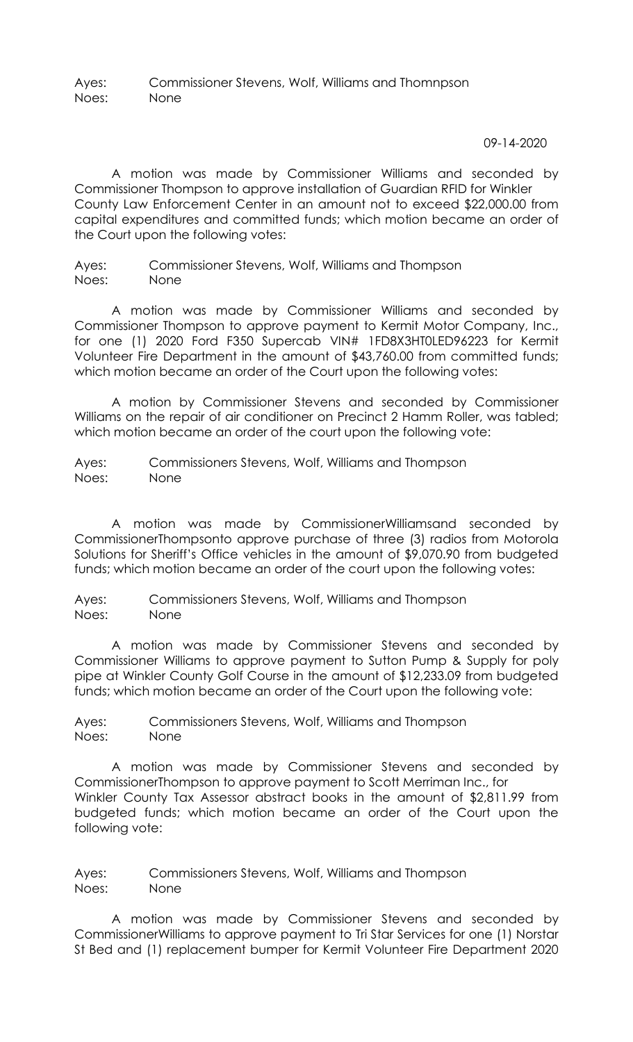Ayes: Commissioner Stevens, Wolf, Williams and Thomnpson Noes: None

09-14-2020

 A motion was made by Commissioner Williams and seconded by Commissioner Thompson to approve installation of Guardian RFID for Winkler County Law Enforcement Center in an amount not to exceed \$22,000.00 from capital expenditures and committed funds; which motion became an order of the Court upon the following votes:

Ayes: Commissioner Stevens, Wolf, Williams and Thompson Noes: None

 A motion was made by Commissioner Williams and seconded by Commissioner Thompson to approve payment to Kermit Motor Company, Inc., for one (1) 2020 Ford F350 Supercab VIN# 1FD8X3HT0LED96223 for Kermit Volunteer Fire Department in the amount of \$43,760.00 from committed funds; which motion became an order of the Court upon the following votes:

 A motion by Commissioner Stevens and seconded by Commissioner Williams on the repair of air conditioner on Precinct 2 Hamm Roller, was tabled; which motion became an order of the court upon the following vote:

Ayes: Commissioners Stevens, Wolf, Williams and Thompson Noes: None

 A motion was made by CommissionerWilliamsand seconded by CommissionerThompsonto approve purchase of three (3) radios from Motorola Solutions for Sheriff's Office vehicles in the amount of \$9,070.90 from budgeted funds; which motion became an order of the court upon the following votes:

Ayes: Commissioners Stevens, Wolf, Williams and Thompson Noes: None

 A motion was made by Commissioner Stevens and seconded by Commissioner Williams to approve payment to Sutton Pump & Supply for poly pipe at Winkler County Golf Course in the amount of \$12,233.09 from budgeted funds; which motion became an order of the Court upon the following vote:

Ayes: Commissioners Stevens, Wolf, Williams and Thompson Noes: None

 A motion was made by Commissioner Stevens and seconded by CommissionerThompson to approve payment to Scott Merriman Inc., for Winkler County Tax Assessor abstract books in the amount of \$2,811.99 from budgeted funds; which motion became an order of the Court upon the following vote:

Ayes: Commissioners Stevens, Wolf, Williams and Thompson Noes: None

 A motion was made by Commissioner Stevens and seconded by CommissionerWilliams to approve payment to Tri Star Services for one (1) Norstar St Bed and (1) replacement bumper for Kermit Volunteer Fire Department 2020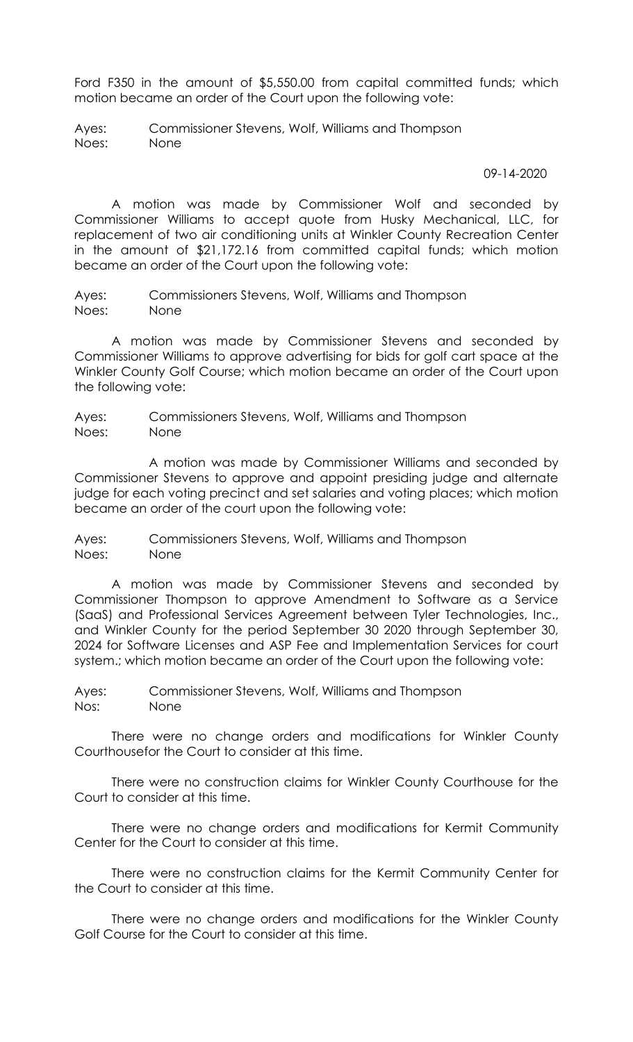Ford F350 in the amount of \$5,550.00 from capital committed funds; which motion became an order of the Court upon the following vote:

Ayes: Commissioner Stevens, Wolf, Williams and Thompson Noes: None

09-14-2020

 A motion was made by Commissioner Wolf and seconded by Commissioner Williams to accept quote from Husky Mechanical, LLC, for replacement of two air conditioning units at Winkler County Recreation Center in the amount of \$21,172.16 from committed capital funds; which motion became an order of the Court upon the following vote:

Ayes: Commissioners Stevens, Wolf, Williams and Thompson Noes: None

A motion was made by Commissioner Stevens and seconded by Commissioner Williams to approve advertising for bids for golf cart space at the Winkler County Golf Course; which motion became an order of the Court upon the following vote:

Ayes: Commissioners Stevens, Wolf, Williams and Thompson Noes: None

 A motion was made by Commissioner Williams and seconded by Commissioner Stevens to approve and appoint presiding judge and alternate judge for each voting precinct and set salaries and voting places; which motion became an order of the court upon the following vote:

Ayes: Commissioners Stevens, Wolf, Williams and Thompson Noes: None

 A motion was made by Commissioner Stevens and seconded by Commissioner Thompson to approve Amendment to Software as a Service (SaaS) and Professional Services Agreement between Tyler Technologies, Inc., and Winkler County for the period September 30 2020 through September 30, 2024 for Software Licenses and ASP Fee and Implementation Services for court system.; which motion became an order of the Court upon the following vote:

Ayes: Commissioner Stevens, Wolf, Williams and Thompson Nos: None

There were no change orders and modifications for Winkler County Courthousefor the Court to consider at this time.

 There were no construction claims for Winkler County Courthouse for the Court to consider at this time.

There were no change orders and modifications for Kermit Community Center for the Court to consider at this time.

 There were no construction claims for the Kermit Community Center for the Court to consider at this time.

 There were no change orders and modifications for the Winkler County Golf Course for the Court to consider at this time.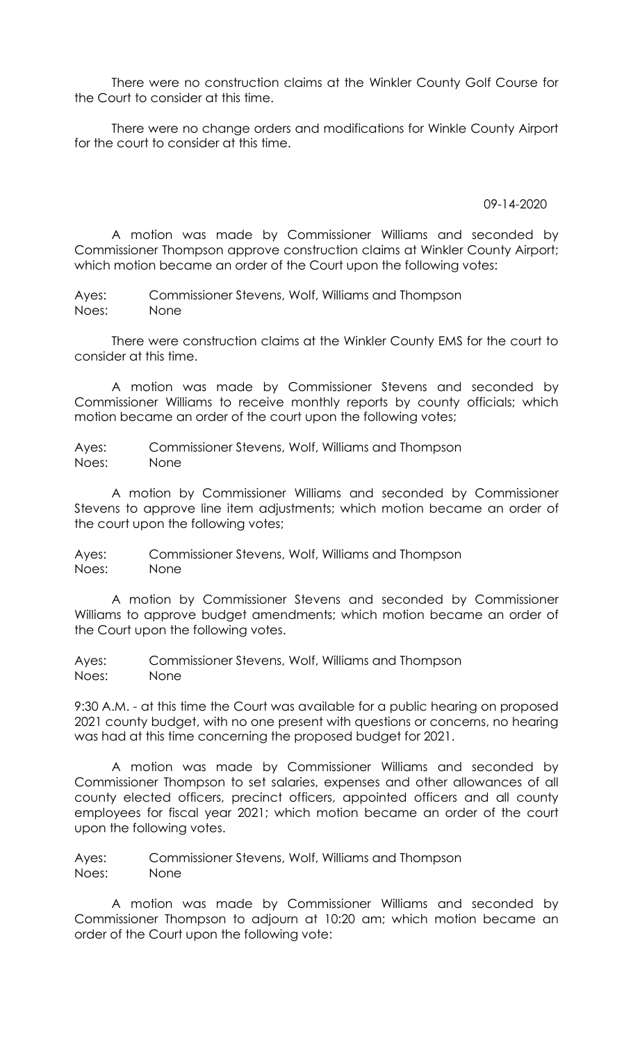There were no construction claims at the Winkler County Golf Course for the Court to consider at this time.

 There were no change orders and modifications for Winkle County Airport for the court to consider at this time.

09-14-2020

A motion was made by Commissioner Williams and seconded by Commissioner Thompson approve construction claims at Winkler County Airport; which motion became an order of the Court upon the following votes:

Ayes: Commissioner Stevens, Wolf, Williams and Thompson Noes: None

There were construction claims at the Winkler County EMS for the court to consider at this time.

 A motion was made by Commissioner Stevens and seconded by Commissioner Williams to receive monthly reports by county officials; which motion became an order of the court upon the following votes;

Ayes: Commissioner Stevens, Wolf, Williams and Thompson Noes: None

 A motion by Commissioner Williams and seconded by Commissioner Stevens to approve line item adjustments; which motion became an order of the court upon the following votes;

Ayes: Commissioner Stevens, Wolf, Williams and Thompson Noes: None

 A motion by Commissioner Stevens and seconded by Commissioner Williams to approve budget amendments; which motion became an order of the Court upon the following votes.

Ayes: Commissioner Stevens, Wolf, Williams and Thompson Noes: None

9:30 A.M. - at this time the Court was available for a public hearing on proposed 2021 county budget, with no one present with questions or concerns, no hearing was had at this time concerning the proposed budget for 2021.

 A motion was made by Commissioner Williams and seconded by Commissioner Thompson to set salaries, expenses and other allowances of all county elected officers, precinct officers, appointed officers and all county employees for fiscal year 2021; which motion became an order of the court upon the following votes.

Ayes: Commissioner Stevens, Wolf, Williams and Thompson Noes: None

A motion was made by Commissioner Williams and seconded by Commissioner Thompson to adjourn at 10:20 am; which motion became an order of the Court upon the following vote: